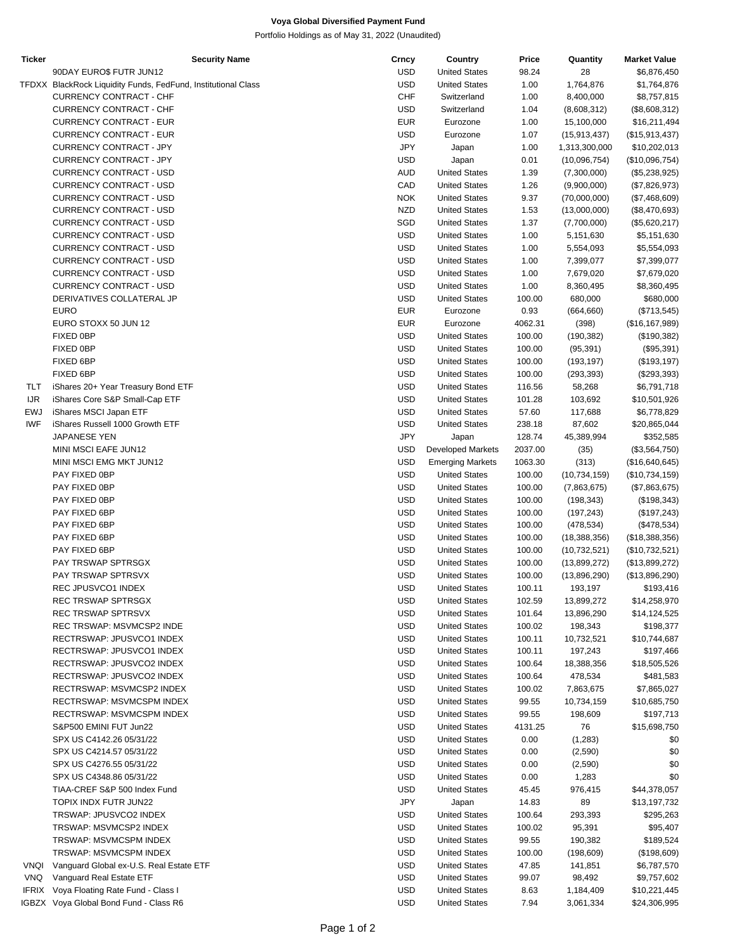## **Voya Global Diversified Payment Fund**

Portfolio Holdings as of May 31, 2022 (Unaudited)

| Ticker     | <b>Security Name</b>                                          | Crncy      | Country                  | Price   | Quantity       | <b>Market Value</b> |
|------------|---------------------------------------------------------------|------------|--------------------------|---------|----------------|---------------------|
|            | 90DAY EURO\$ FUTR JUN12                                       | <b>USD</b> | <b>United States</b>     | 98.24   | 28             | \$6,876,450         |
|            | TFDXX BlackRock Liquidity Funds, FedFund, Institutional Class | <b>USD</b> | <b>United States</b>     | 1.00    | 1,764,876      | \$1,764,876         |
|            | <b>CURRENCY CONTRACT - CHF</b>                                | <b>CHF</b> | Switzerland              | 1.00    | 8,400,000      | \$8,757,815         |
|            | CURRENCY CONTRACT - CHF                                       | <b>USD</b> | Switzerland              | 1.04    | (8,608,312)    | (\$8,608,312)       |
|            | <b>CURRENCY CONTRACT - EUR</b>                                | <b>EUR</b> | Eurozone                 | 1.00    | 15,100,000     | \$16,211,494        |
|            | <b>CURRENCY CONTRACT - EUR</b>                                | <b>USD</b> | Eurozone                 | 1.07    | (15, 913, 437) | (\$15,913,437)      |
|            | CURRENCY CONTRACT - JPY                                       | <b>JPY</b> | Japan                    | 1.00    | 1,313,300,000  | \$10,202,013        |
|            | CURRENCY CONTRACT - JPY                                       | <b>USD</b> |                          |         |                |                     |
|            |                                                               |            | Japan                    | 0.01    | (10,096,754)   | (\$10,096,754)      |
|            | CURRENCY CONTRACT - USD                                       | AUD        | <b>United States</b>     | 1.39    | (7,300,000)    | (\$5,238,925)       |
|            | CURRENCY CONTRACT - USD                                       | CAD        | <b>United States</b>     | 1.26    | (9,900,000)    | (\$7,826,973)       |
|            | CURRENCY CONTRACT - USD                                       | <b>NOK</b> | <b>United States</b>     | 9.37    | (70,000,000)   | (\$7,468,609)       |
|            | CURRENCY CONTRACT - USD                                       | <b>NZD</b> | <b>United States</b>     | 1.53    | (13,000,000)   | (\$8,470,693)       |
|            | <b>CURRENCY CONTRACT - USD</b>                                | SGD        | <b>United States</b>     | 1.37    | (7,700,000)    | (\$5,620,217)       |
|            | CURRENCY CONTRACT - USD                                       | <b>USD</b> | <b>United States</b>     | 1.00    | 5,151,630      | \$5,151,630         |
|            | CURRENCY CONTRACT - USD                                       | <b>USD</b> | <b>United States</b>     | 1.00    | 5,554,093      | \$5,554,093         |
|            | CURRENCY CONTRACT - USD                                       | <b>USD</b> | <b>United States</b>     | 1.00    | 7,399,077      | \$7,399,077         |
|            | CURRENCY CONTRACT - USD                                       | <b>USD</b> | <b>United States</b>     | 1.00    | 7,679,020      | \$7,679,020         |
|            | CURRENCY CONTRACT - USD                                       | <b>USD</b> | <b>United States</b>     | 1.00    | 8,360,495      |                     |
|            |                                                               |            |                          |         |                | \$8,360,495         |
|            | DERIVATIVES COLLATERAL JP                                     | <b>USD</b> | <b>United States</b>     | 100.00  | 680,000        | \$680,000           |
|            | <b>EURO</b>                                                   | <b>EUR</b> | Eurozone                 | 0.93    | (664, 660)     | (\$713,545)         |
|            | EURO STOXX 50 JUN 12                                          | <b>EUR</b> | Eurozone                 | 4062.31 | (398)          | (\$16, 167, 989)    |
|            | FIXED 0BP                                                     | <b>USD</b> | <b>United States</b>     | 100.00  | (190, 382)     | (\$190,382)         |
|            | FIXED 0BP                                                     | <b>USD</b> | <b>United States</b>     | 100.00  | (95, 391)      | (\$95,391)          |
|            | FIXED 6BP                                                     | <b>USD</b> | <b>United States</b>     | 100.00  | (193, 197)     | (\$193, 197)        |
|            | FIXED 6BP                                                     | <b>USD</b> | <b>United States</b>     | 100.00  | (293, 393)     | (\$293,393)         |
| TLT        | iShares 20+ Year Treasury Bond ETF                            | <b>USD</b> | <b>United States</b>     | 116.56  | 58,268         | \$6,791,718         |
| <b>IJR</b> | iShares Core S&P Small-Cap ETF                                | <b>USD</b> | <b>United States</b>     | 101.28  | 103,692        | \$10,501,926        |
| <b>EWJ</b> | iShares MSCI Japan ETF                                        | <b>USD</b> | <b>United States</b>     | 57.60   | 117,688        |                     |
|            |                                                               |            |                          |         |                | \$6,778,829         |
| <b>IWF</b> | iShares Russell 1000 Growth ETF                               | <b>USD</b> | <b>United States</b>     | 238.18  | 87,602         | \$20,865,044        |
|            | JAPANESE YEN                                                  | <b>JPY</b> | Japan                    | 128.74  | 45,389,994     | \$352,585           |
|            | MINI MSCI EAFE JUN12                                          | <b>USD</b> | <b>Developed Markets</b> | 2037.00 | (35)           | (\$3,564,750)       |
|            | MINI MSCI EMG MKT JUN12                                       | <b>USD</b> | <b>Emerging Markets</b>  | 1063.30 | (313)          | (\$16,640,645)      |
|            | PAY FIXED 0BP                                                 | <b>USD</b> | <b>United States</b>     | 100.00  | (10, 734, 159) | (\$10,734,159)      |
|            | PAY FIXED OBP                                                 | <b>USD</b> | <b>United States</b>     | 100.00  | (7,863,675)    | (\$7,863,675)       |
|            | PAY FIXED OBP                                                 | <b>USD</b> | <b>United States</b>     | 100.00  | (198, 343)     | (\$198,343)         |
|            | PAY FIXED 6BP                                                 | <b>USD</b> | <b>United States</b>     | 100.00  | (197, 243)     | (\$197,243)         |
|            | PAY FIXED 6BP                                                 | <b>USD</b> | <b>United States</b>     | 100.00  | (478, 534)     | (\$478,534)         |
|            | PAY FIXED 6BP                                                 | <b>USD</b> | <b>United States</b>     | 100.00  | (18, 388, 356) | (\$18,388,356)      |
|            | PAY FIXED 6BP                                                 |            |                          |         |                |                     |
|            |                                                               | <b>USD</b> | <b>United States</b>     | 100.00  | (10, 732, 521) | (\$10,732,521)      |
|            | PAY TRSWAP SPTRSGX                                            | USD        | <b>United States</b>     | 100.00  | (13,899,272)   | (\$13,899,272)      |
|            | PAY TRSWAP SPTRSVX                                            | USD        | <b>United States</b>     | 100.00  | (13,896,290)   | (\$13,896,290)      |
|            | REC JPUSVCO1 INDEX                                            | <b>USD</b> | <b>United States</b>     | 100.11  | 193,197        | \$193,416           |
|            | REC TRSWAP SPTRSGX                                            | USD        | <b>United States</b>     | 102.59  | 13,899,272     | \$14,258,970        |
|            | REC TRSWAP SPTRSVX                                            | USD        | <b>United States</b>     | 101.64  | 13,896,290     | \$14,124,525        |
|            | REC TRSWAP: MSVMCSP2 INDE                                     | USD        | <b>United States</b>     | 100.02  | 198,343        | \$198,377           |
|            | RECTRSWAP: JPUSVCO1 INDEX                                     | USD        | <b>United States</b>     | 100.11  | 10,732,521     | \$10,744,687        |
|            | RECTRSWAP: JPUSVCO1 INDEX                                     | <b>USD</b> | <b>United States</b>     | 100.11  | 197,243        | \$197,466           |
|            | RECTRSWAP: JPUSVCO2 INDEX                                     | USD        | <b>United States</b>     | 100.64  | 18,388,356     | \$18,505,526        |
|            | RECTRSWAP: JPUSVCO2 INDEX                                     | <b>USD</b> | <b>United States</b>     | 100.64  | 478,534        |                     |
|            |                                                               |            |                          |         |                | \$481,583           |
|            | RECTRSWAP: MSVMCSP2 INDEX                                     | USD        | <b>United States</b>     | 100.02  | 7,863,675      | \$7,865,027         |
|            | RECTRSWAP: MSVMCSPM INDEX                                     | <b>USD</b> | <b>United States</b>     | 99.55   | 10,734,159     | \$10,685,750        |
|            | RECTRSWAP: MSVMCSPM INDEX                                     | USD        | <b>United States</b>     | 99.55   | 198,609        | \$197,713           |
|            | S&P500 EMINI FUT Jun22                                        | USD        | <b>United States</b>     | 4131.25 | 76             | \$15,698,750        |
|            | SPX US C4142.26 05/31/22                                      | USD        | <b>United States</b>     | 0.00    | (1,283)        | \$0                 |
|            | SPX US C4214.57 05/31/22                                      | USD        | <b>United States</b>     | 0.00    | (2,590)        | \$0                 |
|            | SPX US C4276.55 05/31/22                                      | USD        | <b>United States</b>     | 0.00    | (2,590)        | \$0                 |
|            | SPX US C4348.86 05/31/22                                      | <b>USD</b> | <b>United States</b>     | 0.00    | 1,283          | \$0                 |
|            | TIAA-CREF S&P 500 Index Fund                                  | USD        | <b>United States</b>     | 45.45   |                |                     |
|            |                                                               |            |                          |         | 976,415        | \$44,378,057        |
|            | TOPIX INDX FUTR JUN22                                         | <b>JPY</b> | Japan                    | 14.83   | 89             | \$13,197,732        |
|            | TRSWAP: JPUSVCO2 INDEX                                        | USD        | <b>United States</b>     | 100.64  | 293,393        | \$295,263           |
|            | TRSWAP: MSVMCSP2 INDEX                                        | USD        | <b>United States</b>     | 100.02  | 95,391         | \$95,407            |
|            | TRSWAP: MSVMCSPM INDEX                                        | USD        | <b>United States</b>     | 99.55   | 190,382        | \$189,524           |
|            | TRSWAP: MSVMCSPM INDEX                                        | USD        | <b>United States</b>     | 100.00  | (198, 609)     | (\$198,609)         |
| VNQI       | Vanguard Global ex-U.S. Real Estate ETF                       | USD        | <b>United States</b>     | 47.85   | 141,851        | \$6,787,570         |
| <b>VNQ</b> | Vanguard Real Estate ETF                                      | <b>USD</b> | <b>United States</b>     | 99.07   | 98,492         | \$9,757,602         |
| IFRIX      | Voya Floating Rate Fund - Class I                             | USD        | <b>United States</b>     | 8.63    | 1,184,409      | \$10,221,445        |
|            | IGBZX Voya Global Bond Fund - Class R6                        | <b>USD</b> | <b>United States</b>     | 7.94    | 3,061,334      | \$24,306,995        |
|            |                                                               |            |                          |         |                |                     |